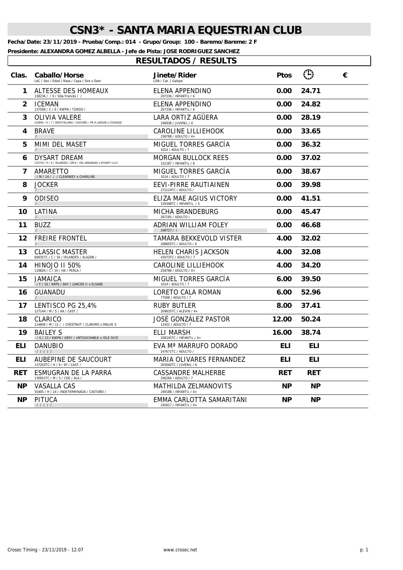**Fecha/Date: 23/11/2019 - Prueba/Comp.: 014 - Grupo/Group: 100 - Baremo/Bareme: 2 F**

**Presidente: ALEXANDRA GOMEZ ALBELLA - Jefe de Pista: JOSE RODRIGUEZ SANCHEZ**

| Clas.        | Caballo/Horse<br>LAC / Sex / Edad / Raza / Capa / Sire x Dam                    | <b>Jinete/Rider</b><br>LDN / Cat. / Galope         | <b>Ptos</b> | $\bigcap$  | € |
|--------------|---------------------------------------------------------------------------------|----------------------------------------------------|-------------|------------|---|
| 1            | ALTESSE DES HOMEAUX<br>138236 / / 9 / Silla Francés / /                         | ELENA APPENDINO<br>207336 / INFANTIL / 6           | 0.00        | 24.71      |   |
| $\mathbf{2}$ | <b>ICEMAN</b><br>137599 / C / 6 / KWPN / TORDO /                                | ELENA APPENDINO<br>207336 / INFANTIL / 6           | 0.00        | 24.82      |   |
| 3            | OLIVIA VALERE<br>133695 / H / 7 / WESTFALIANO / CASTAÑO / PR.H.LARSON x COURAGE | LARA ORTIZ AGUERA<br>248938 / JUVENIL / 6          | 0.00        | 28.19      |   |
| 4            | <b>BRAVE</b>                                                                    | CAROLINE LILLIEHOOK<br>258788 / ADULTO / 4+        | 0.00        | 33.65      |   |
| 5            | MIMI DEL MASET                                                                  | MIGUEL TORRES GARCIA<br>1014 / ADULTO / 7          | 0.00        | 36.32      |   |
| 6            | DYSART DREAM<br>133719 / H / 6 / IRLANDÉS / GRIS / VDL ARKANSAS x DYSART LILLY  | MORGAN BULLOCK REES<br>152187 / INFANTIL / 6       | 0.00        | 37.02      |   |
| 7            | AMARETTO<br>- / M / 14 / / / CLEARWEY x CHARLINE                                | MIGUEL TORRES GARCÍA<br>1014 / ADULTO / 7          | 0.00        | 38.67      |   |
| 8            | <b>JOCKER</b>                                                                   | EEVI-PIRRE RAUTIAINEN<br>272124TC / ADULTO /       | 0.00        | 39.98      |   |
| 9            | ODISEO                                                                          | ELIZA MAE AGIUS VICTORY<br>159348TC / INFANTIL / 5 | 0.00        | 41.51      |   |
| 10           | LATINA                                                                          | MICHA BRANDEBURG<br>267185 / ADULTO /              | 0.00        | 45.47      |   |
| 11           | <b>BUZZ</b>                                                                     | ADRIAN WILLIAM FOLEY<br>248727 / /                 | 0.00        | 46.68      |   |
| 12           | <b>FREIRE FRONTEL</b>                                                           | TAMARA BEKKEVOLD VISTER<br>268805TC / ADULTO / 6   | 4.00        | 32.02      |   |
| 13           | <b>CLASSIC MASTER</b><br>68935TC / C / 16 / IRLANDÉS / ALAZÁN /                 | HELEN CHARIS JACKSON<br>43073TC / ADULTO / 7       | 4.00        | 32.08      |   |
| 14           | <b>HINOJO II 50%</b><br>119826 / C / 10 / HA / PERLA /                          | CAROLINE LILLIEHOOK<br>258788 / ADULTO / 4+        | 4.00        | 34.20      |   |
| 15           | JAMAICA<br>- / F / 16 / NRPS / BAY / LANCER II x ELSABE                         | MIGUEL TORRES GARCÍA<br>1014 / ADULTO / 7          | 6.00        | 39.50      |   |
| 16           | GUANADU                                                                         | LORETO CALA ROMAN<br>77588 / ADULTO / 7            | 6.00        | 52.96      |   |
| 17           | LENTISCO PG 25,4%<br>127144 / M / 5 / AA / CAST /                               | <b>RUBY BUTLER</b><br>209635TC / ALEVIN / 4+       | 8.00        | 37.41      |   |
| 18           | CLARICO<br>114808 / M / 11 / / CHESTNUT / CLARIMO x MALVE X                     | JOSÉ GONZÁLEZ PASTOR<br>12422 / ADULTO / 7         | 12.00       | 50.24      |   |
| 19           | <b>BAILEY S</b><br>- / G / 13 / KWPN / GREY / UNTOUCHABLE x IDLE DICE           | ELLI MARSH<br>208245TC / INFANTIL / 4+             | 16.00       | 38.74      |   |
| ELI          | <b>DANUBIO</b><br>$-11111$                                                      | EVA Mª MARRUFO DORADO<br>247671TC / ADULTO /       | ELI         | <b>ELI</b> |   |
| ELI          | AUBEPINE DE SAUCOURT<br>137203TC / H / 9 / SF / CAST /                          | MARIA OLIVARES FERNANDEZ<br>205040TC / JUVENIL / 6 | ELI         | <b>ELI</b> |   |
| RET          | ESMUGRAN DE LA PARRA<br>130951TC / M / 5 / CDE / ALA /                          | CASSANDRE MALHERBE<br>206266 / ADULTO / 7          | <b>RET</b>  | <b>RET</b> |   |
| <b>NP</b>    | VASALLA CAS<br>55405 / H / 14 / INDETERMINADA / CASTAÑO /                       | MATHILDA ZELMANOVITS<br>249188 / INFANTIL / 4+     | <b>NP</b>   | <b>NP</b>  |   |
| <b>NP</b>    | PITUCA<br>$-11111$                                                              | EMMA CARLOTTA SAMARITANI<br>245617 / INFANTIL / 4+ | <b>NP</b>   | <b>NP</b>  |   |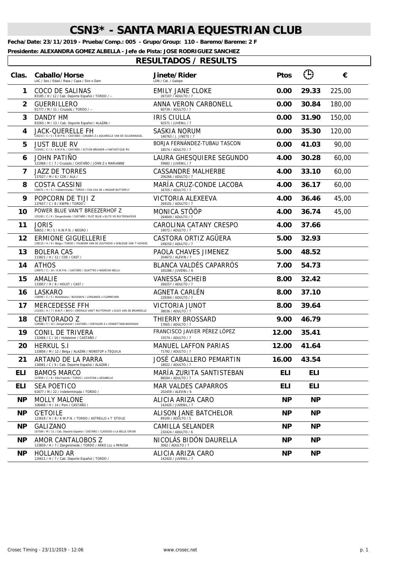**Fecha/Date: 23/11/2019 - Prueba/Comp.: 005 - Grupo/Group: 110 - Baremo/Bareme: 2 F**

**Presidente: ALEXANDRA GOMEZ ALBELLA - Jefe de Pista: JOSE RODRIGUEZ SANCHEZ**

 $\overline{\phantom{a}}$ 

| Clas.      | Caballo/Horse<br>LAC / Sex / Edad / Raza / Capa / Sire x Dam                                                    | Jinete/Rider<br>LDN / Cat. / Galope                | <b>Ptos</b> | $\bigoplus$ | €      |
|------------|-----------------------------------------------------------------------------------------------------------------|----------------------------------------------------|-------------|-------------|--------|
| 1          | COCO DE SALINAS<br>83185 / H / 12 / Cab. Deporte Español / TORDO / --                                           | EMILY JANE CLOKE<br>267107 / ADULTO / 7            | 0.00        | 29.33       | 225,00 |
| 2          | <b>GUERRILLERO</b><br>91777 / M / 11 / Cruzado / TORDO / --                                                     | ANNA VERON CARBONELL<br>60739 / ADULTO / 7         | 0.00        | 30.84       | 180,00 |
| 3          | DANDY HM<br>83265 / M / 13 / Cab. Deporte Español / ALAZÁN /                                                    | <b>IRIS CIULLA</b><br>92571 / JUVENIL / 7          | 0.00        | 31.90       | 150,00 |
| 4          | <b>JACK-QUERELLE FH</b><br>130213 / C / 5 / K.W.P.N. / CASTAÑO / CANABIS Z x AQUARELLE VAN DE GULDENNAGEL       | SASKIA NORUM<br>140763 / J. JINETE / 7             | 0.00        | 35.30       | 120,00 |
| 5          | <b>JUST BLUE RV</b><br>133443 / C / 5 / K.W.P.N. / CASTAÑO / ACTION BREAKER x FANTASTIQUE RV                    | BORJA FERNÁNDEZ-TUBAU TASCON<br>18574 / ADULTO / 7 | 0.00        | 41.03       | 90,00  |
| 6          | JOHN PATIÑO<br>121968 / C / 7 / Cruzado / CASTAÑO / JOHN Z x MARIANNE                                           | LAURA GHESQUIERE SEGUNDO<br>59682 / JUVENIL / 7    | 4.00        | 30.28       | 60,00  |
| 7          | <b>JAZZ DE TORRES</b><br>137027 / M / 6 / CDE / ALA /                                                           | <b>CASSANDRE MALHERBE</b><br>206266 / ADULTO / 7   | 4.00        | 33.10       | 60,00  |
| 8          | COSTA CASSINI<br>138071 / H / 5 / Indeterminada / TORDO / CHA CHA DE x MADAM BUTTERFLY                          | MARÍA CRUZ-CONDE LACOBA<br>16705 / ADULTO / 7      | 4.00        | 36.17       | 60,00  |
| 9          | POPCORN DE TIJI Z<br>137657 / C / 8 / KWPN / TORDO /                                                            | VICTORIA ALEXEEVA<br>269101 / ADULTO / 7           | 4.00        | 36.46       | 45,00  |
| 10         | POWER BLUE VAN'T BREEZERHOF Z<br>135183 / C / 9 / Zangersheide / CASTAÑO / PLOT BLUE x ELITE VD RUITERSHOEVE    | MONICA STÖÖP<br>264849 / ADULTO / 7                | 4.00        | 36.74       | 45,00  |
| 11         | JORIS<br>68651 / M / 5 / K.W.P.N. / NEGRO /                                                                     | CAROLINA CATANY CRESPO<br>19072 / ADULTO / 7       | 4.00        | 37.66       |        |
| 12         | <b>ERMIONE GIGUELLERIE</b><br>138110 / H / 9 / Belga / TORDO / THUNDER VAN DE ZUUTHOVE x DIBLESSE VAN 'T HOVEKE | CASTORA ORTIZ AGÜERA<br>249250 / ADULTO / 7        | 5.00        | 32.93       |        |
| 13         | <b>BOLERA CAS</b><br>113821 / H / 12 / CDE / CAST /                                                             | PAOLA CHAVES JIMENEZ<br>204673 / ALEVIN / 7        | 5.00        | 48.52       |        |
| 14         | ATHOS<br>136971 / C / 14 / K.W.P.N. / CASTAÑO / QUATTRO x NADECHE-BELLA                                         | BLANCA VALDÉS CAPARRÓS<br>165286 / JUVENIL / 6     | 7.00        | 54.73       |        |
| 15         | AMALIE<br>133957 / H / 8 / HOLST / CAST /                                                                       | <b>VANESSA SCHEIB</b><br>266257 / ADULTO / 7       | 8.00        | 32.42       |        |
| 16         | <b>LASKARO</b><br>138095 / C / 5 / Westfallano / BUCKSKIN / LORDANOS x FLÄMMCHEN                                | AGNETA CARLÉN<br>229364 / ADULTO / 7               | 8.00        | 37.10       |        |
| 17         | <b>MERCEDESSE FFH</b><br>132303 / H / 7 / B.W.P. / BAYO / EMERALD VAN'T RUYTERHOF x ELSIE VAN DE BRAMDELLE      | VICTORIA JUNOT<br>38036 / ADULTO / 7               | 8.00        | 39.64       |        |
| 18         | CENTORADO Z<br>128588 / C / 10 / Zangersheide / CASTAÑO / CENTAUER Z x VENDETTADEINDORADO                       | THIERRY BROSSARD<br>17605 / ADULTO / 7             | 9.00        | 46.79       |        |
| 19         | CONIL DE TRIVERA<br>132466 / C / 16 / Holsteiner / CASTAÑO /                                                    | FRANCISCO JAVIER PÉREZ LÓPEZ<br>15574 / ADULTO / 7 | 12.00       | 35.41       |        |
| 20         | <b>HERKUL S.I</b><br>133856 / M / 12 / Belga / ALAZÁN / NONSTOP x TEQUILA                                       | MANUEL LAFFON PARIAS<br>71792 / ADULTO / 7         | 12.00       | 41.64       |        |
| 21         | ARTANO DE LA PARRA<br>116061 / C / 9 / Cab. Deporte Español / ALAZÁN /                                          | JOSÉ CABALLERO PEMARTIN<br>18022 / ADULTO / 7      | 16.00       | 43.54       |        |
| ELI        | <b>BAMOS MARCO</b><br>137859 / C / 8 / Silla Francés / TORDO / LEVISTAN x GESABELLE                             | MARIA ZURITA SANTISTEBAN<br>86594 / ADULTO / 7     | ELI         | <b>ELI</b>  |        |
| <b>ELI</b> | <b>SEA POETICO</b><br>61677 / M / 22 / Indeterminada / TORDO /                                                  | <b>MAR VALDES CAPARROS</b><br>202459 / ALEVIN / 6  | <b>ELI</b>  | <b>ELI</b>  |        |
| <b>NP</b>  | <b>MOLLY MALONE</b><br>106468 / H / 14 / Poni / CASTAÑO /                                                       | ALICIA ARIZA CARO<br>142420 / JUVENIL / 7          | <b>NP</b>   | <b>NP</b>   |        |
| NP.        | <b>G'ETOILE</b><br>123618 / H / 8 / K.W.P.N. / TORDO / ASTRELLO x T 'ETOILE                                     | ALISON JANE BATCHELOR<br>89100 / ADULTO / 5        | <b>NP</b>   | <b>NP</b>   |        |
| <b>NP</b>  | GALIZANO<br>107584 / M / 11 / Cab. Deporte Español / CASTAÑO / CLASSIDO x LA BELLE ORION                        | CAMILLA SELANDER<br>232424 / ADULTO / 6            | ΝP          | <b>NP</b>   |        |
| <b>NP</b>  | AMOR CANTALOBOS Z<br>123859 / H / 7 / Zangersheide / TORDO / ARKO LLL x MIRUSA                                  | NICOLÁS BIDÓN DAURELLA<br>3062 / ADULTO / 7        | ΝP          | <b>NP</b>   |        |
| <b>NP</b>  | <b>HOLLAND AR</b><br>120611 / H / 7 / Cab. Deporte Español / TORDO /                                            | ALICIA ARIZA CARO<br>142420 / JUVENIL / 7          | <b>NP</b>   | <b>NP</b>   |        |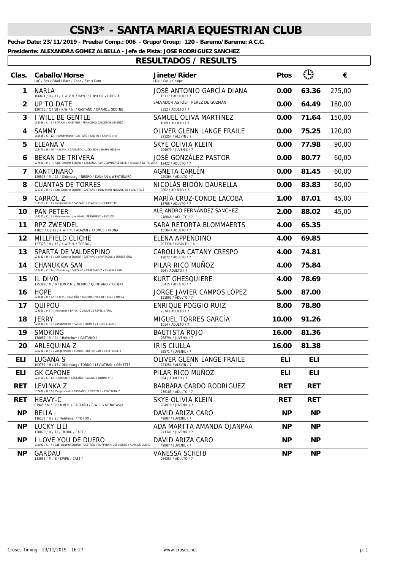**Fecha/Date: 23/11/2019 - Prueba/Comp.: 006 - Grupo/Group: 120 - Baremo/Bareme: A C.C.**

**Presidente: ALEXANDRA GOMEZ ALBELLA - Jefe de Pista: JOSE RODRIGUEZ SANCHEZ**

| Clas.          | Caballo/Horse<br>LAC / Sex / Edad / Raza / Capa / Sire x Dam                                                                            | Jinete/Rider<br>LDN / Cat. / Galope                   | <b>Ptos</b> | $\left(\mathrm{T}\right)$ | €      |
|----------------|-----------------------------------------------------------------------------------------------------------------------------------------|-------------------------------------------------------|-------------|---------------------------|--------|
| 1              | <b>NARLA</b><br>106871 / H / 11 / K.W.P.N. / BAYO / LUPICOR x ORYSSA                                                                    | JOSÉ ANTONIO GARCÍA DIANA<br>15717 / ADULTO / 7       | 0.00        | 63.36                     | 275,00 |
| $\overline{2}$ | UP TO DATE<br>120750 / C / 18 / K.W.P.N. / CASTAÑO / ORAMÉ x GODINE                                                                     | SALVADOR ASTOLFI PÉREZ DE GUZMÁN<br>2382 / ADULTO / 7 | 0.00        | 64.49                     | 180,00 |
| 3              | I WILL BE GENTLE<br>135169 / C / 6 / K.W.P.N. / CASTAÑO / FRANCISCO CALDERON JIMENEZ                                                    | SAMUEL OLIVA MARTÍNEZ<br>1089 / ADULTO / 7            | 0.00        | 71.64                     | 150,00 |
| 4              | <b>SAMMY</b><br>110625 / C / 12 / Hannoveriano / CASTAÑO / SALITO x CAIPIRINHA                                                          | OLIVER GLENN LANGE FRAILE<br>221254 / ALEVIN / 7      | 0.00        | 75.25                     | 120,00 |
| 5              | ELEANA V<br>123470 / H / 10 / K.W.P.N. / CASTAÑO / LUCKY BOY x HAPPY HELENA                                                             | SKYE OLIVIA KLEIN<br>204979 / JUVENIL / 7             | 0.00        | 77.98                     | 90,00  |
| 6              | <b>BEKAN DE TRIVERA</b><br>127501 / M / 7 / Cab. Deporte Español / CASTAÑO / EUROCOMMERCE BERLIN x KABILA DE TRIVERA 12422 / ADULTO / 7 | JOSÉ GONZÁLEZ PASTOR                                  | 0.00        | 80.77                     | 60,00  |
| 7              | KANTUNARO<br>129575 / M / 15 / Oldenburg / NEGRO / KANNAN x WENTUNARA                                                                   | AGNETA CARLÉN<br>229364 / ADULTO / 7                  | 0.00        | 81.45                     | 60,00  |
| 8              | <b>CUANTAS DE TORRES</b><br>121727 / H / 7 / Cab. Deporte Español / CASTAÑO / HOW MANY NOUVOLIEU x CALINTA Z                            | NICOLÁS BIDÓN DAURELLA<br>3062 / ADULTO / 7           | 0.00        | 83.83                     | 60,00  |
| 9              | CARROL Z<br>133317 / C / 7 / Zangersheide / CASTAÑO / CLARIMO x CLAUDETTE                                                               | MARÍA CRUZ-CONDE LACOBA<br>16705 / ADULTO / 7         | 1.00        | 87.01                     | 45,00  |
| 10             | <b>PAN PETER</b><br>134222 / C / 5 / Hannoveriano / ALAZÁN / PERIGUEUX x ESCUDO                                                         | ALEJANDRO FERNÁNDEZ SANCHEZ<br>248848 / ADUI TO / 7   | 2.00        | 88.02                     | 45,00  |
| 11             | RPZ ZWENDEL<br>41823 / C / 15 / K.W.P.N. / ALAZÁN / TADMUS x IRONA                                                                      | SARA RETORTA BLOMMAERTS<br>15584 / ADULTO / 7         | 4.00        | 65.35                     |        |
| 12             | MILLFIELD CLICHE<br>127323 / H / 12 / K.W.P.N. / TORDO /                                                                                | ELENA APPENDINO<br>207336 / INFANTIL / 6              | 4.00        | 69.85                     |        |
| 13             | SPARTA DE VALDESPINO<br>124182 / H / 6 / Cab. Deporte Español / CASTAÑO / SPARTACUS x SUNSET GIRL                                       | CAROLINA CATANY CRESPO<br>19072 / ADULTO / 7          | 4.00        | 74.81                     |        |
| 14             | CHANUKKA SAN<br>120493 / C / 14 / Oldenburg / CASTAÑO / CARETANO Z x CHALIMA SAN                                                        | PILAR RICO MUÑOZ<br>994 / ADULTO / 7                  | 4.00        | 75.84                     |        |
| 15             | IL DIVO<br>125399 / M / 6 / K.W.P.N. / NEGRO / QUINTANO x TROJKA                                                                        | <b>KURT GHESQUIERE</b><br>33415 / ADULTO / 7          | 4.00        | 78.69                     |        |
| 16             | <b>HOPE</b><br>120698 / H / 12 / B.W.P. / CASTAÑO / AMOROSO VAN DE HELLE x UNICA                                                        | JORGE JAVIER CAMPOS LÓPEZ<br>151802 / ADULTO / 7      | 5.00        | 87.00                     |        |
| 17             | QUIPOU<br>124560 / M / 7 / Holsteiner / BAYO / QUIDAM DE REVEL x ARIA                                                                   | ENRIQUE POGGIO RUIZ<br>2374 / ADULTO / 7              | 8.00        | 78.80                     |        |
| 18             | <b>JERRY</b><br>126531 / C / 8 / Zangersheide / PARDO / JOHN Z x FILIUS CLASSIC                                                         | MIGUEL TORRES GARCÍA<br>1014 / ADULTO / 7             | 10.00       | 91.26                     |        |
| 19             | SMOKING<br>138087 / M / 14 / Holsteiner / CASTAÑO /                                                                                     | <b>BAUTISTA ROJO</b><br>268794 / JUVENIL / 7          | 16.00       | 81.36                     |        |
| 20             | ARLEQUINA Z<br>126298 / H / 7 / Zangersheide / TORDO / AIR JORDAN Z x CITTEMEE Z                                                        | IRIS CIULLA<br>92571 / JUVENIL / 7                    | 16.00       | 81.38                     |        |
| <b>ELI</b>     | LUGANA S<br>103757 / H / 13 / Oldenburg / TORDO / LEVIATHAN x GENETTE                                                                   | OLIVER GLENN LANGE FRAILE<br>221254 / ALEVIN / 7      | <b>ELI</b>  | <b>ELI</b>                |        |
| ELI            | <b>GK CAPONE</b><br>121410 / C / 13 / Holsteiner / CASTAÑO / CASALL x WONNE VIII                                                        | PILAR RICO MUÑOZ<br>994 / ADULTO / 7                  | <b>ELI</b>  | ELI                       |        |
| <b>RET</b>     | LEVINKA Z<br>137400 / H / 6 / Zangersheide / CASTAÑO / LEVISTO Z x CENTAURA Z                                                           | BARBARA CARDO RODRIGUEZ<br>236185 / ADULTO / 7        | <b>RET</b>  | <b>RET</b>                |        |
| RET            | HEAVY-C<br>87945 / M / 12 / B.W.P. / CASTAÑO / B.W.P. x M. NATASJA                                                                      | SKYE OLIVIA KLEIN<br>204979 / JUVENIL / 7             | <b>RET</b>  | <b>RET</b>                |        |
| <b>NP</b>      | <b>BELIA</b><br>116137 / H / 9 / Holsteiner / TORDO /                                                                                   | DAVID ARIZA CARO<br>49887 / JUVENIL / 7               | <b>NP</b>   | <b>NP</b>                 |        |
| <b>NP</b>      | LUCKY LILI<br>138070 / H / 12 / OLDBG / CAST /                                                                                          | ADA MARTTA AMANDA OJANPÄÄ<br>271341 / JUVENIL / 7     | <b>NP</b>   | <b>NP</b>                 |        |
| <b>NP</b>      | I LOVE YOU DE DUERO<br>130092 / C / 7 / Cab. Deporte Español / CASTAÑO / HUPPYDAM DES HORTS x ALMA DE DUERO                             | DAVID ARIZA CARO<br>49887 / JUVENIL / 7               | ΝP          | <b>NP</b>                 |        |
| NP.            | GARDAU<br>133956 / M / 8 / KWPN / CAST /                                                                                                | <b>VANESSA SCHEIB</b><br>266257 / ADULTO / 7          | <b>NP</b>   | <b>NP</b>                 |        |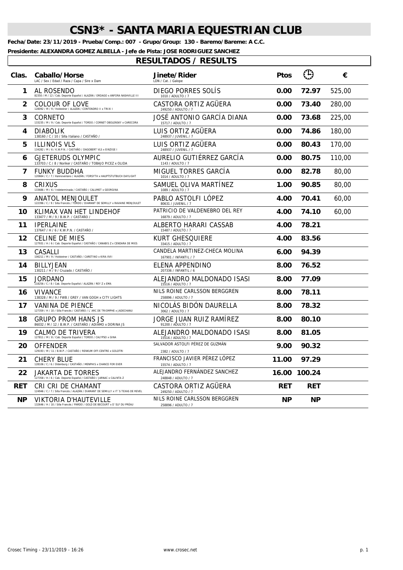**Fecha/Date: 23/11/2019 - Prueba/Comp.: 007 - Grupo/Group: 130 - Baremo/Bareme: A C.C.**

**Presidente: ALEXANDRA GOMEZ ALBELLA - Jefe de Pista: JOSE RODRIGUEZ SANCHEZ**

| Clas.      | Caballo/Horse<br>LAC / Sex / Edad / Raza / Capa / Sire x Dam                                               | <b>Jinete/Rider</b><br>LDN / Cat. / Galope             | <b>Ptos</b> | $\bigoplus$  | €      |
|------------|------------------------------------------------------------------------------------------------------------|--------------------------------------------------------|-------------|--------------|--------|
| 1          | AL ROSENDO<br>82350 / M / 12 / Cab. Deporte Español / ALAZÁN / ORDAGO x ANFORA NASHVILLE III               | DIEGO PORRES SOLÍS<br>1010 / ADULTO / 7                | 0.00        | 72.97        | 525,00 |
| 2          | COLOUR OF LOVE<br>128092 / M / 9 / Holsteiner / ALAZÁN / CONTENDRO II x TRIXI I                            | CASTORA ORTIZ AGUERA<br>249250 / ADULTO / 7            | 0.00        | 73.40        | 280.00 |
| 3          | CORNETO<br>133235 / M / 9 / Cab. Deporte Español / TORDO / CORNET OBOLENSKY x CARECORA                     | JOSÉ ANTONIO GARCÍA DIANA<br>15717 / ADULTO / 7        | 0.00        | 73.68        | 225,00 |
| 4          | <b>DIABOLIK</b><br>138160 / C / 10 / Silla Italiano / CASTAÑO /                                            | LUIS ORTIZ AGUERA<br>248937 / JUVENIL / 7              | 0.00        | 74.86        | 180,00 |
| 5          | <b>ILLINOIS VLS</b><br>134282 / M / 6 / K.W.P.N. / CASTAÑO / DAGOBERT VLS x EINZIGE I                      | LUIS ORTIZ AGUERA<br>248937 / JUVENIL / 7              | 0.00        | 80.43        | 170,00 |
| 6          | GJETERUDS OLYMPIC<br>133703 / C / 8 / Noriker / CASTAÑO / TOBAJO PICEZ x OLIDA                             | AURELIO GUTIÉRREZ GARCÍA<br>1143 / ADULTO / 7          | 0.00        | 80.75        | 110,00 |
| 7          | FUNKY BUDDHA<br>120664 / C / 7 / Hannoveriano / ALAZÁN / FORSYTH x HAUPTSTUTBUCH DAYLIGHT                  | MIGUEL TORRES GARCÍA<br>1014 / ADULTO / 7              | 0.00        | 82.78        | 80,00  |
| 8          | CRIXUS<br>133686 / M / 6 / Indeterminada / CASTAÑO / CALUMET x GEORGINA                                    | SAMUEL OLIVA MARTINEZ<br>1089 / ADULTO / 7             | 1.00        | 90.85        | 80,00  |
| 9          | <b>ANATOL MENJOULET</b><br>122396 / C / 9 / Silla Francés / TORDO / DIAMANT DE SEMILLY x RAVAINE MENJOULET | PABLO ASTOLFI LOPEZ<br>80631 / JUVENIL / 7             | 4.00        | 70.41        | 60,00  |
| 10         | KLIMAX VAN HET LINDEHOF<br>133477 / M / 9 / B.W.P. / CASTAÑO /                                             | PATRICIO DE VALDENEBRO DEL REY<br>16879 / ADULTO / 7   | 4.00        | 74.10        | 60,00  |
| 11         | <b>IPERLAINE</b><br>137647 / H / 6 / K.W.P.N. / CASTAÑO /                                                  | ALBERTO HARARI CASSAB<br>15487 / ADULTO / 7            | 4.00        | 78.21        |        |
| 12         | <b>CELINE DE MIES</b><br>127931 / H / 6 / Cab. Deporte Español / CASTAÑO / CANABIS Z x CENDARA DE MIES     | KURT GHESQUIERE<br>33415 / ADULTO / 7                  | 4.00        | 83.56        |        |
| 13         | CASALLI<br>106211 / M / 9 / Holsteiner / CASTAÑO / CARETINO x KIRA XVII                                    | CANDELA MARTINEZ-CHECA MOLINA<br>167901 / INFANTIL / 7 | 6.00        | 94.39        |        |
| 14         | BILLYJEAN<br>130211 / H / 9 / Cruzado / CASTAÑO /                                                          | ELENA APPENDINO<br>207336 / INFANTIL / 6               | 8.00        | 76.52        |        |
| 15         | JORDANO<br>118256 / C / 8 / Cab. Deporte Español / ALAZÁN / REY Z x EMA                                    | ALEJANDRO MALDONADO ISASI<br>15516 / ADULTO / 7        | 8.00        | 77.09        |        |
| 16         | <b>VIVANCE</b><br>138328 / M / 9 / FWB / GREY / VAN GOGH x CITY LIGHTS                                     | NILS ROINE CARLSSON BERGGREN<br>258896 / ADULTO / 7    | 8.00        | 78.11        |        |
| 17         | VANINA DE PIENCE<br>127359 / H / 10 / Silla Francés / CASTAÑO / L'ARC DE TRIOMPHE x JADECHANU              | NICOLÁS BIDÓN DAURELLA<br>3062 / ADULTO / 7            | 8.00        | 78.32        |        |
| 18         | <b>GRUPO PROM HANS JS</b><br>86032 / M / 12 / B.W.P. / CASTAÑO / ADIAMO x DORINA JS                        | JORGE JUAN RUIZ RAMÍREZ<br>91200 / ADULTO / 7          | 8.00        | 80.10        |        |
| 19         | CALMO DE TRIVERA<br>127811 / M / 8 / Cab. Deporte Español / TORDO / CALYPSO x GINA                         | ALEJANDRO MALDONADO ISASI<br>15516 / ADULTO / 7        | 8.00        | 81.05        |        |
| 20         | OFFENDER<br>129193 / M / 11 / B.W.P. / CASTAÑO / RENKUM OFF-CENTRE x GOLDTRI                               | SALVADOR ASTOLFI PÉREZ DE GUZMÁN<br>2382 / ADULTO / 7  | 9.00        | 90.32        |        |
| 21         | CHERY BLUE<br>128106 / C / 6 / Oldenburg / CASTAÑO / MENPHIS x CHANCE FOR EVER                             | FRANCISCO JAVIER PÉREZ LÓPEZ<br>15574 / ADULTO / 7     | 11.00       | 97.29        |        |
| 22         | JAKARTA DE TORRES<br>127358 / H / 6 / Cab. Deporte Español / CASTAÑO / JARNAC x CALINTA Z                  | ALEJANDRO FERNÁNDEZ SANCHEZ<br>248848 / ADULTO / 7     |             | 16.00 100.24 |        |
| <b>RET</b> | CRI CRI DE CHAMANT<br>124946 / C / 7 / Silla Francés / ALAZÁN / DIAMANT DE SEMILLY x IT'S TEXAS DE REVEL   | CASTORA ORTIZ AGUERA<br>249250 / ADULTO / 7            | <b>RET</b>  | <b>RET</b>   |        |
| <b>NP</b>  | VIKTORIA D'HAUTEVILLE<br>132646 / H / 10 / Silla Francés / PARDO / GOLD DE BECOURT x D'ELF DU PRÉAU        | NILS ROINE CARLSSON BERGGREN<br>258896 / ADULTO / 7    | <b>NP</b>   | <b>NP</b>    |        |